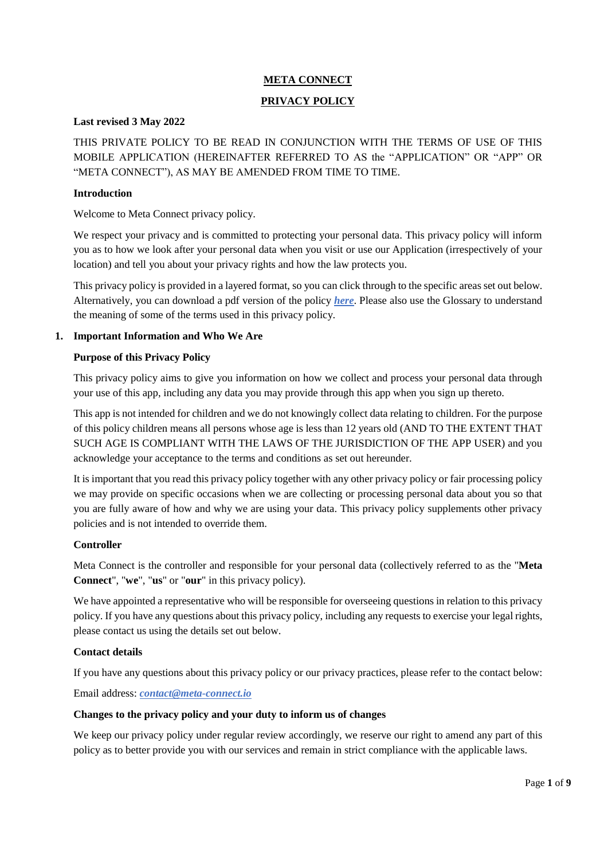# **META CONNECT**

# **PRIVACY POLICY**

### **Last revised 3 May 2022**

THIS PRIVATE POLICY TO BE READ IN CONJUNCTION WITH THE TERMS OF USE OF THIS MOBILE APPLICATION (HEREINAFTER REFERRED TO AS the "APPLICATION" OR "APP" OR "META CONNECT"), AS MAY BE AMENDED FROM TIME TO TIME.

### **Introduction**

Welcome to Meta Connect privacy policy.

We respect your privacy and is committed to protecting your personal data. This privacy policy will inform you as to how we look after your personal data when you visit or use our Application (irrespectively of your location) and tell you about your privacy rights and how the law protects you.

This privacy policy is provided in a layered format, so you can click through to the specific areas set out below. Alternatively, you can download a pdf version of the policy *[here](https://meta-connect.io/privacy.pdf)*. Please also use the Glossary to understand the meaning of some of the terms used in this privacy policy.

## **1. Important Information and Who We Are**

### **Purpose of this Privacy Policy**

This privacy policy aims to give you information on how we collect and process your personal data through your use of this app, including any data you may provide through this app when you sign up thereto.

This app is not intended for children and we do not knowingly collect data relating to children. For the purpose of this policy children means all persons whose age is less than 12 years old (AND TO THE EXTENT THAT SUCH AGE IS COMPLIANT WITH THE LAWS OF THE JURISDICTION OF THE APP USER) and you acknowledge your acceptance to the terms and conditions as set out hereunder.

It is important that you read this privacy policy together with any other privacy policy or fair processing policy we may provide on specific occasions when we are collecting or processing personal data about you so that you are fully aware of how and why we are using your data. This privacy policy supplements other privacy policies and is not intended to override them.

## **Controller**

Meta Connect is the controller and responsible for your personal data (collectively referred to as the "**Meta Connect**", "**we**", "**us**" or "**our**" in this privacy policy).

We have appointed a representative who will be responsible for overseeing questions in relation to this privacy policy. If you have any questions about this privacy policy, including any requests to exercise your legal rights, please contact us using the details set out below.

## **Contact details**

If you have any questions about this privacy policy or our privacy practices, please refer to the contact below:

Email address: *[contact@meta-connect.io](mailto:contact@meta-connect.io)*

#### **Changes to the privacy policy and your duty to inform us of changes**

We keep our privacy policy under regular review accordingly, we reserve our right to amend any part of this policy as to better provide you with our services and remain in strict compliance with the applicable laws.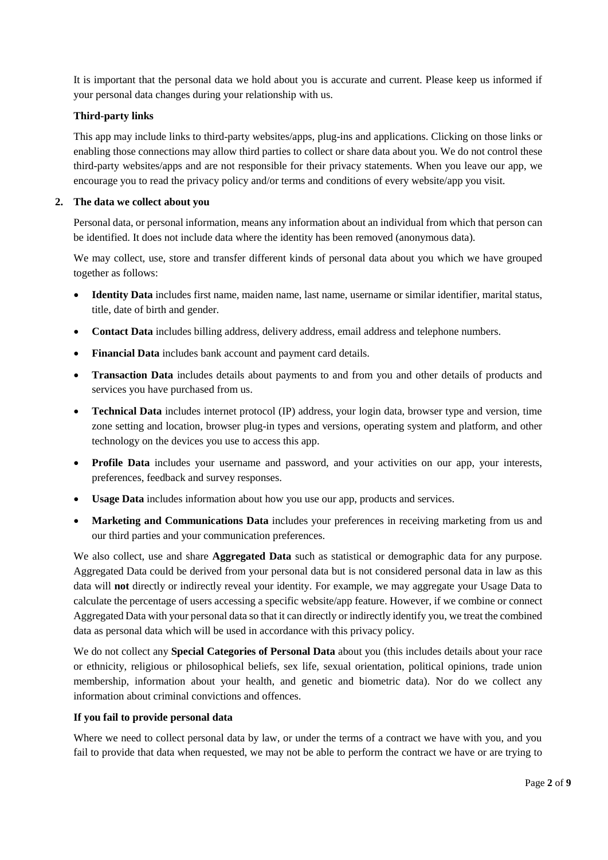It is important that the personal data we hold about you is accurate and current. Please keep us informed if your personal data changes during your relationship with us.

## **Third-party links**

This app may include links to third-party websites/apps, plug-ins and applications. Clicking on those links or enabling those connections may allow third parties to collect or share data about you. We do not control these third-party websites/apps and are not responsible for their privacy statements. When you leave our app, we encourage you to read the privacy policy and/or terms and conditions of every website/app you visit.

### **2. The data we collect about you**

Personal data, or personal information, means any information about an individual from which that person can be identified. It does not include data where the identity has been removed (anonymous data).

We may collect, use, store and transfer different kinds of personal data about you which we have grouped together as follows:

- **Identity Data** includes first name, maiden name, last name, username or similar identifier, marital status, title, date of birth and gender.
- **Contact Data** includes billing address, delivery address, email address and telephone numbers.
- **Financial Data** includes bank account and payment card details.
- **Transaction Data** includes details about payments to and from you and other details of products and services you have purchased from us.
- **Technical Data** includes internet protocol (IP) address, your login data, browser type and version, time zone setting and location, browser plug-in types and versions, operating system and platform, and other technology on the devices you use to access this app.
- **Profile Data** includes your username and password, and your activities on our app, your interests, preferences, feedback and survey responses.
- **Usage Data** includes information about how you use our app, products and services.
- **Marketing and Communications Data** includes your preferences in receiving marketing from us and our third parties and your communication preferences.

We also collect, use and share **Aggregated Data** such as statistical or demographic data for any purpose. Aggregated Data could be derived from your personal data but is not considered personal data in law as this data will **not** directly or indirectly reveal your identity. For example, we may aggregate your Usage Data to calculate the percentage of users accessing a specific website/app feature. However, if we combine or connect Aggregated Data with your personal data so that it can directly or indirectly identify you, we treat the combined data as personal data which will be used in accordance with this privacy policy.

We do not collect any **Special Categories of Personal Data** about you (this includes details about your race or ethnicity, religious or philosophical beliefs, sex life, sexual orientation, political opinions, trade union membership, information about your health, and genetic and biometric data). Nor do we collect any information about criminal convictions and offences.

#### **If you fail to provide personal data**

Where we need to collect personal data by law, or under the terms of a contract we have with you, and you fail to provide that data when requested, we may not be able to perform the contract we have or are trying to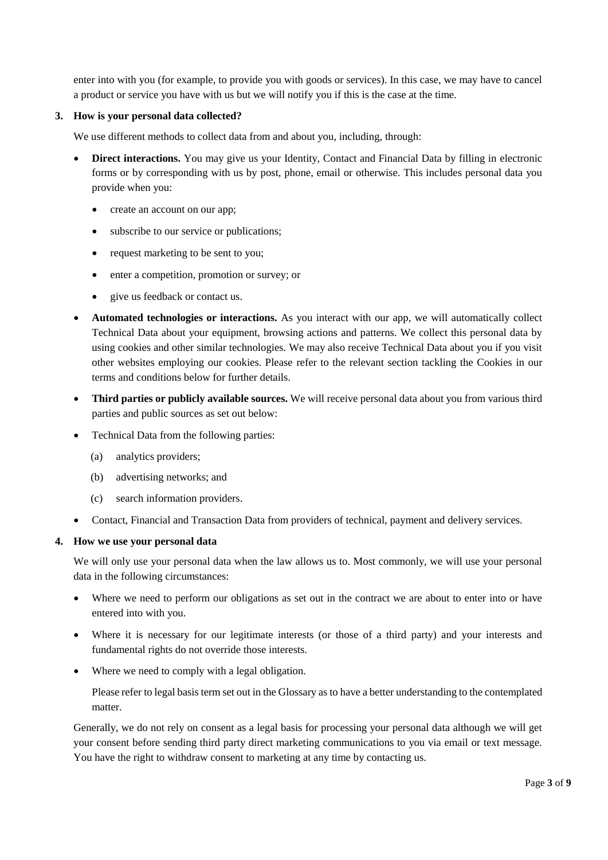enter into with you (for example, to provide you with goods or services). In this case, we may have to cancel a product or service you have with us but we will notify you if this is the case at the time.

### **3. How is your personal data collected?**

We use different methods to collect data from and about you, including, through:

- **Direct interactions.** You may give us your Identity, Contact and Financial Data by filling in electronic forms or by corresponding with us by post, phone, email or otherwise. This includes personal data you provide when you:
	- create an account on our app;
	- subscribe to our service or publications;
	- request marketing to be sent to you;
	- enter a competition, promotion or survey; or
	- give us feedback or contact us.
- **Automated technologies or interactions.** As you interact with our app, we will automatically collect Technical Data about your equipment, browsing actions and patterns. We collect this personal data by using cookies and other similar technologies. We may also receive Technical Data about you if you visit other websites employing our cookies. Please refer to the relevant section tackling the Cookies in our terms and conditions below for further details.
- **Third parties or publicly available sources.** We will receive personal data about you from various third parties and public sources as set out below:
- Technical Data from the following parties:
	- (a) analytics providers;
	- (b) advertising networks; and
	- (c) search information providers.
- Contact, Financial and Transaction Data from providers of technical, payment and delivery services.

### **4. How we use your personal data**

We will only use your personal data when the law allows us to. Most commonly, we will use your personal data in the following circumstances:

- Where we need to perform our obligations as set out in the contract we are about to enter into or have entered into with you.
- Where it is necessary for our legitimate interests (or those of a third party) and your interests and fundamental rights do not override those interests.
- Where we need to comply with a legal obligation.

Please refer to legal basis term set out in the Glossary as to have a better understanding to the contemplated matter.

Generally, we do not rely on consent as a legal basis for processing your personal data although we will get your consent before sending third party direct marketing communications to you via email or text message. You have the right to withdraw consent to marketing at any time by contacting us.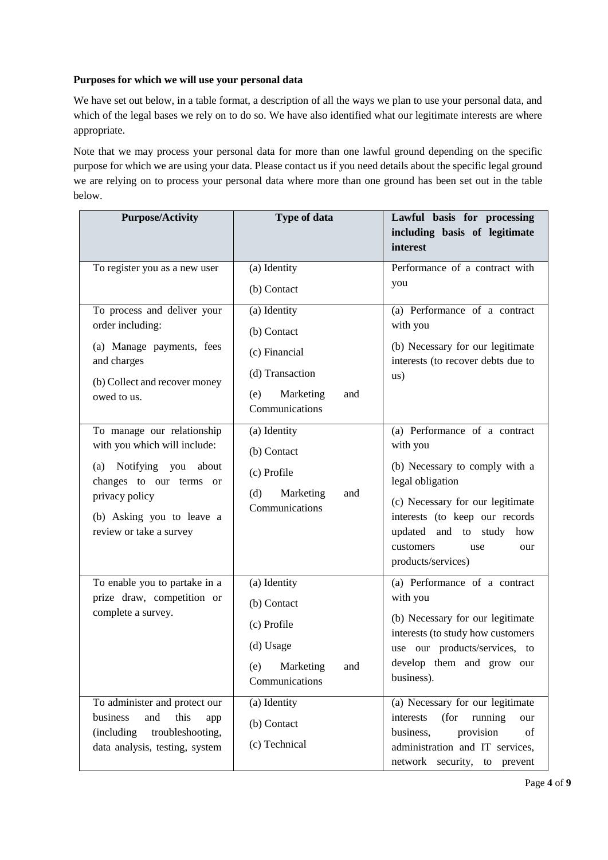# **Purposes for which we will use your personal data**

We have set out below, in a table format, a description of all the ways we plan to use your personal data, and which of the legal bases we rely on to do so. We have also identified what our legitimate interests are where appropriate.

Note that we may process your personal data for more than one lawful ground depending on the specific purpose for which we are using your data. Please contact us if you need details about the specific legal ground we are relying on to process your personal data where more than one ground has been set out in the table below.

| <b>Purpose/Activity</b>                                                                                                                                                   | <b>Type of data</b>                                                                                                          | Lawful basis for processing<br>including basis of legitimate<br>interest                                                                                                                                             |
|---------------------------------------------------------------------------------------------------------------------------------------------------------------------------|------------------------------------------------------------------------------------------------------------------------------|----------------------------------------------------------------------------------------------------------------------------------------------------------------------------------------------------------------------|
| To register you as a new user                                                                                                                                             | (a) Identity<br>(b) Contact                                                                                                  | Performance of a contract with<br>you                                                                                                                                                                                |
| To process and deliver your<br>order including:<br>(a) Manage payments, fees<br>and charges<br>(b) Collect and recover money<br>owed to us.<br>To manage our relationship | (a) Identity<br>(b) Contact<br>(c) Financial<br>(d) Transaction<br>Marketing<br>(e)<br>and<br>Communications<br>(a) Identity | (a) Performance of a contract<br>with you<br>(b) Necessary for our legitimate<br>interests (to recover debts due to<br>$\text{us})$<br>(a) Performance of a contract                                                 |
| with you which will include:<br>(a) Notifying you about<br>changes to our terms or<br>privacy policy<br>(b) Asking you to leave a<br>review or take a survey              | (b) Contact<br>(c) Profile<br>(d)<br>Marketing<br>and<br>Communications                                                      | with you<br>(b) Necessary to comply with a<br>legal obligation<br>(c) Necessary for our legitimate<br>interests (to keep our records<br>updated and to study<br>how<br>customers<br>use<br>our<br>products/services) |
| To enable you to partake in a<br>prize draw, competition or<br>complete a survey.                                                                                         | (a) Identity<br>(b) Contact<br>(c) Profile<br>(d) Usage<br>(e) Marketing<br>and<br>Communications                            | (a) Performance of a contract<br>with you<br>(b) Necessary for our legitimate<br>interests (to study how customers<br>use our products/services, to<br>develop them and grow our<br>business).                       |
| To administer and protect our<br>and<br>this<br>business<br>app<br>(including<br>troubleshooting,<br>data analysis, testing, system                                       | (a) Identity<br>(b) Contact<br>(c) Technical                                                                                 | (a) Necessary for our legitimate<br>(for running)<br>interests<br>our<br>provision<br>business.<br>of<br>administration and IT services,<br>network security, to prevent                                             |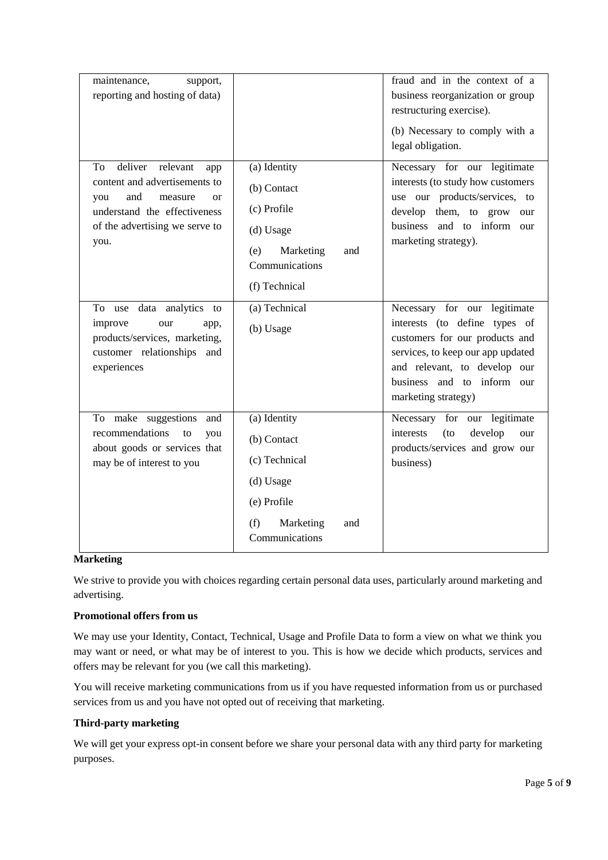| maintenance,<br>support,<br>reporting and hosting of data)                                                                                                                            |                                                                                                                       | fraud and in the context of a<br>business reorganization or group<br>restructuring exercise).<br>(b) Necessary to comply with a<br>legal obligation.                                                                      |
|---------------------------------------------------------------------------------------------------------------------------------------------------------------------------------------|-----------------------------------------------------------------------------------------------------------------------|---------------------------------------------------------------------------------------------------------------------------------------------------------------------------------------------------------------------------|
| deliver<br>relevant<br>To<br>app<br>content and advertisements to<br>and<br>you<br>measure<br><sub>or</sub><br>understand the effectiveness<br>of the advertising we serve to<br>you. | (a) Identity<br>(b) Contact<br>(c) Profile<br>(d) Usage<br>Marketing<br>and<br>(e)<br>Communications<br>(f) Technical | Necessary for our legitimate<br>interests (to study how customers<br>use our products/services, to<br>develop them, to grow our<br>business and to inform our<br>marketing strategy).                                     |
| To use data analytics to<br>improve<br>our<br>app,<br>products/services, marketing,<br>customer relationships and<br>experiences                                                      | (a) Technical<br>(b) Usage                                                                                            | Necessary for our legitimate<br>interests (to define types of<br>customers for our products and<br>services, to keep our app updated<br>and relevant, to develop our<br>business and to inform our<br>marketing strategy) |
| To make suggestions<br>and<br>recommendations<br>to<br>you<br>about goods or services that<br>may be of interest to you                                                               | (a) Identity<br>(b) Contact<br>(c) Technical<br>(d) Usage<br>(e) Profile                                              | Necessary for our legitimate<br>interests<br>$($ to<br>develop<br>our<br>products/services and grow our<br>business)                                                                                                      |
|                                                                                                                                                                                       | (f)<br>Marketing<br>and<br>Communications                                                                             |                                                                                                                                                                                                                           |

## **Marketing**

We strive to provide you with choices regarding certain personal data uses, particularly around marketing and advertising.

## **Promotional offers from us**

We may use your Identity, Contact, Technical, Usage and Profile Data to form a view on what we think you may want or need, or what may be of interest to you. This is how we decide which products, services and offers may be relevant for you (we call this marketing).

You will receive marketing communications from us if you have requested information from us or purchased services from us and you have not opted out of receiving that marketing.

# **Third-party marketing**

We will get your express opt-in consent before we share your personal data with any third party for marketing purposes.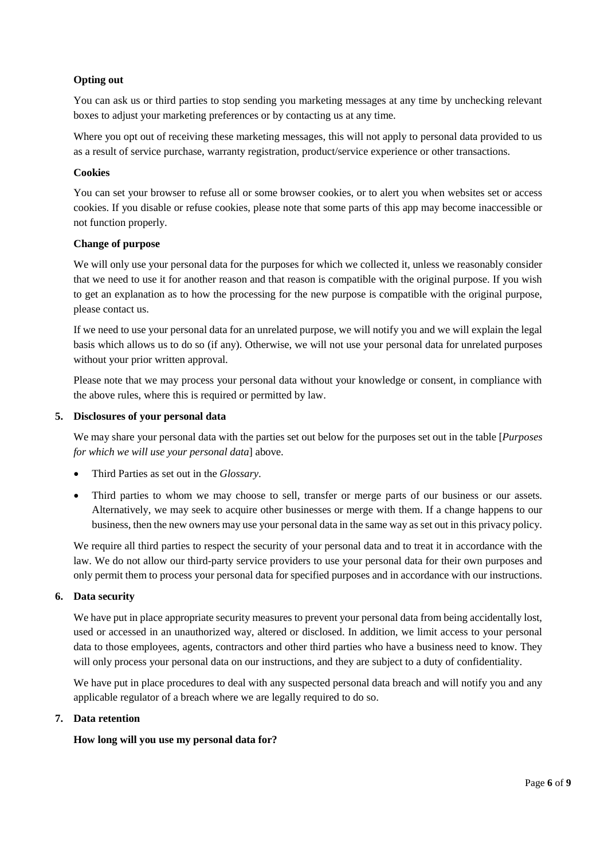# **Opting out**

You can ask us or third parties to stop sending you marketing messages at any time by unchecking relevant boxes to adjust your marketing preferences or by contacting us at any time.

Where you opt out of receiving these marketing messages, this will not apply to personal data provided to us as a result of service purchase, warranty registration, product/service experience or other transactions.

### **Cookies**

You can set your browser to refuse all or some browser cookies, or to alert you when websites set or access cookies. If you disable or refuse cookies, please note that some parts of this app may become inaccessible or not function properly.

### **Change of purpose**

We will only use your personal data for the purposes for which we collected it, unless we reasonably consider that we need to use it for another reason and that reason is compatible with the original purpose. If you wish to get an explanation as to how the processing for the new purpose is compatible with the original purpose, please contact us.

If we need to use your personal data for an unrelated purpose, we will notify you and we will explain the legal basis which allows us to do so (if any). Otherwise, we will not use your personal data for unrelated purposes without your prior written approval.

Please note that we may process your personal data without your knowledge or consent, in compliance with the above rules, where this is required or permitted by law.

### **5. Disclosures of your personal data**

We may share your personal data with the parties set out below for the purposes set out in the table [*Purposes for which we will use your personal data*] above.

- Third Parties as set out in the *Glossary*.
- Third parties to whom we may choose to sell, transfer or merge parts of our business or our assets. Alternatively, we may seek to acquire other businesses or merge with them. If a change happens to our business, then the new owners may use your personal data in the same way as set out in this privacy policy.

We require all third parties to respect the security of your personal data and to treat it in accordance with the law. We do not allow our third-party service providers to use your personal data for their own purposes and only permit them to process your personal data for specified purposes and in accordance with our instructions.

#### **6. Data security**

We have put in place appropriate security measures to prevent your personal data from being accidentally lost, used or accessed in an unauthorized way, altered or disclosed. In addition, we limit access to your personal data to those employees, agents, contractors and other third parties who have a business need to know. They will only process your personal data on our instructions, and they are subject to a duty of confidentiality.

We have put in place procedures to deal with any suspected personal data breach and will notify you and any applicable regulator of a breach where we are legally required to do so.

## **7. Data retention**

## **How long will you use my personal data for?**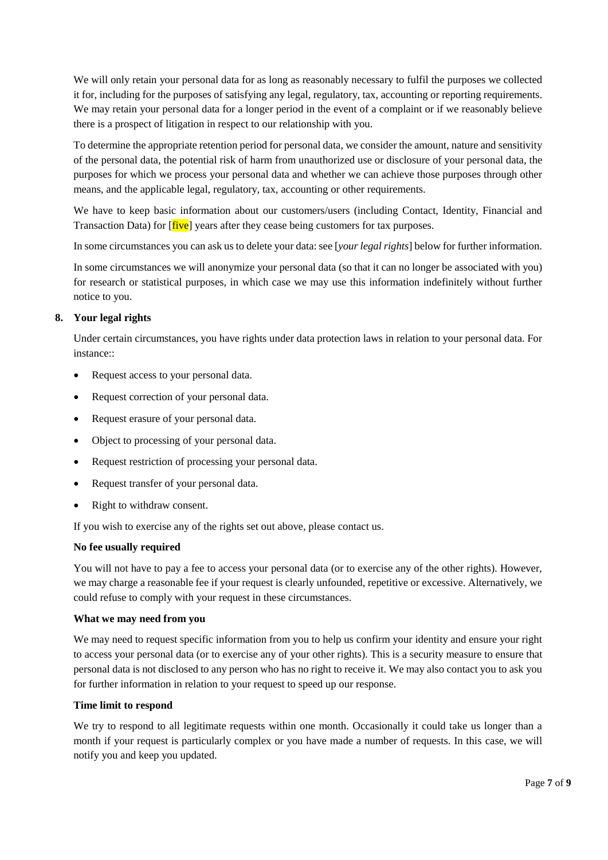We will only retain your personal data for as long as reasonably necessary to fulfil the purposes we collected it for, including for the purposes of satisfying any legal, regulatory, tax, accounting or reporting requirements. We may retain your personal data for a longer period in the event of a complaint or if we reasonably believe there is a prospect of litigation in respect to our relationship with you.

To determine the appropriate retention period for personal data, we consider the amount, nature and sensitivity of the personal data, the potential risk of harm from unauthorized use or disclosure of your personal data, the purposes for which we process your personal data and whether we can achieve those purposes through other means, and the applicable legal, regulatory, tax, accounting or other requirements.

We have to keep basic information about our customers/users (including Contact, Identity, Financial and Transaction Data) for  $[\text{five}]$  years after they cease being customers for tax purposes.

In some circumstances you can ask us to delete your data: see [*your legal rights*] below for further information.

In some circumstances we will anonymize your personal data (so that it can no longer be associated with you) for research or statistical purposes, in which case we may use this information indefinitely without further notice to you.

### **8. Your legal rights**

Under certain circumstances, you have rights under data protection laws in relation to your personal data. For instance::

- Request access to your personal data.
- Request correction of your personal data.
- Request erasure of your personal data.
- Object to processing of your personal data.
- Request restriction of processing your personal data.
- Request transfer of your personal data.
- Right to withdraw consent.

If you wish to exercise any of the rights set out above, please contact us.

#### **No fee usually required**

You will not have to pay a fee to access your personal data (or to exercise any of the other rights). However, we may charge a reasonable fee if your request is clearly unfounded, repetitive or excessive. Alternatively, we could refuse to comply with your request in these circumstances.

#### **What we may need from you**

We may need to request specific information from you to help us confirm your identity and ensure your right to access your personal data (or to exercise any of your other rights). This is a security measure to ensure that personal data is not disclosed to any person who has no right to receive it. We may also contact you to ask you for further information in relation to your request to speed up our response.

#### **Time limit to respond**

We try to respond to all legitimate requests within one month. Occasionally it could take us longer than a month if your request is particularly complex or you have made a number of requests. In this case, we will notify you and keep you updated.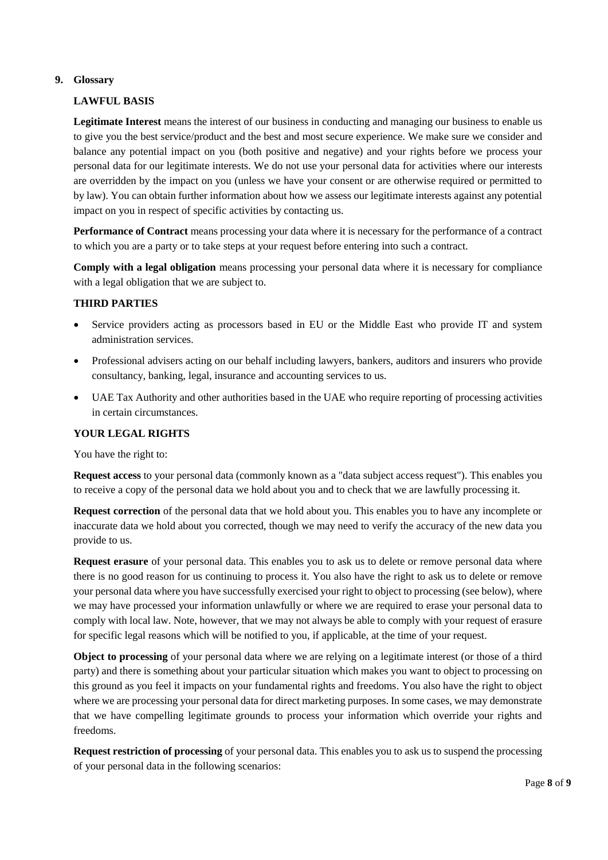# **9. Glossary**

# **LAWFUL BASIS**

**Legitimate Interest** means the interest of our business in conducting and managing our business to enable us to give you the best service/product and the best and most secure experience. We make sure we consider and balance any potential impact on you (both positive and negative) and your rights before we process your personal data for our legitimate interests. We do not use your personal data for activities where our interests are overridden by the impact on you (unless we have your consent or are otherwise required or permitted to by law). You can obtain further information about how we assess our legitimate interests against any potential impact on you in respect of specific activities by contacting us.

**Performance of Contract** means processing your data where it is necessary for the performance of a contract to which you are a party or to take steps at your request before entering into such a contract.

**Comply with a legal obligation** means processing your personal data where it is necessary for compliance with a legal obligation that we are subject to.

### **THIRD PARTIES**

- Service providers acting as processors based in EU or the Middle East who provide IT and system administration services.
- Professional advisers acting on our behalf including lawyers, bankers, auditors and insurers who provide consultancy, banking, legal, insurance and accounting services to us.
- UAE Tax Authority and other authorities based in the UAE who require reporting of processing activities in certain circumstances.

## **YOUR LEGAL RIGHTS**

You have the right to:

**Request access** to your personal data (commonly known as a "data subject access request"). This enables you to receive a copy of the personal data we hold about you and to check that we are lawfully processing it.

**Request correction** of the personal data that we hold about you. This enables you to have any incomplete or inaccurate data we hold about you corrected, though we may need to verify the accuracy of the new data you provide to us.

**Request erasure** of your personal data. This enables you to ask us to delete or remove personal data where there is no good reason for us continuing to process it. You also have the right to ask us to delete or remove your personal data where you have successfully exercised your right to object to processing (see below), where we may have processed your information unlawfully or where we are required to erase your personal data to comply with local law. Note, however, that we may not always be able to comply with your request of erasure for specific legal reasons which will be notified to you, if applicable, at the time of your request.

**Object to processing** of your personal data where we are relying on a legitimate interest (or those of a third party) and there is something about your particular situation which makes you want to object to processing on this ground as you feel it impacts on your fundamental rights and freedoms. You also have the right to object where we are processing your personal data for direct marketing purposes. In some cases, we may demonstrate that we have compelling legitimate grounds to process your information which override your rights and freedoms.

**Request restriction of processing** of your personal data. This enables you to ask us to suspend the processing of your personal data in the following scenarios: